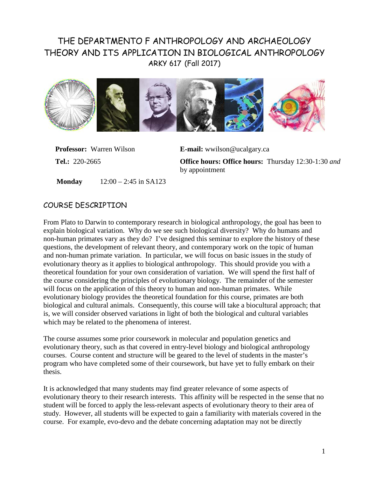# THE DEPARTMENTO F ANTHROPOLOGY AND ARCHAEOLOGY THEORY AND ITS APPLICATION IN BIOLOGICAL ANTHROPOLOGY ARKY 617 (Fall 2017)



**Professor:** Warren Wilson **E-mail:** [wwilson@ucalgary.ca](mailto:wwilson@ucalgary.ca)

**Tel.:** 220-2665 **Office hours: Office hours:** Thursday 12:30-1:30 *and*  by appointment

**Monday** 12:00 – 2:45 in SA123

# COURSE DESCRIPTION

From Plato to Darwin to contemporary research in biological anthropology, the goal has been to explain biological variation. Why do we see such biological diversity? Why do humans and non-human primates vary as they do? I've designed this seminar to explore the history of these questions, the development of relevant theory, and contemporary work on the topic of human and non-human primate variation. In particular, we will focus on basic issues in the study of evolutionary theory as it applies to biological anthropology. This should provide you with a theoretical foundation for your own consideration of variation. We will spend the first half of the course considering the principles of evolutionary biology. The remainder of the semester will focus on the application of this theory to human and non-human primates. While evolutionary biology provides the theoretical foundation for this course, primates are both biological and cultural animals. Consequently, this course will take a biocultural approach; that is, we will consider observed variations in light of both the biological and cultural variables which may be related to the phenomena of interest.

The course assumes some prior coursework in molecular and population genetics and evolutionary theory, such as that covered in entry-level biology and biological anthropology courses. Course content and structure will be geared to the level of students in the master's program who have completed some of their coursework, but have yet to fully embark on their thesis.

It is acknowledged that many students may find greater relevance of some aspects of evolutionary theory to their research interests. This affinity will be respected in the sense that no student will be forced to apply the less-relevant aspects of evolutionary theory to their area of study. However, all students will be expected to gain a familiarity with materials covered in the course. For example, evo-devo and the debate concerning adaptation may not be directly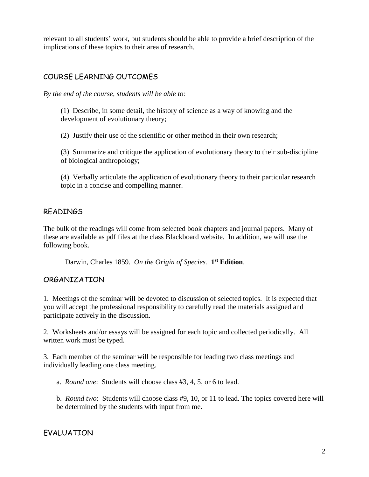relevant to all students' work, but students should be able to provide a brief description of the implications of these topics to their area of research.

# COURSE LEARNING OUTCOMES

*By the end of the course, students will be able to:*

(1) Describe, in some detail, the history of science as a way of knowing and the development of evolutionary theory;

(2) Justify their use of the scientific or other method in their own research;

(3) Summarize and critique the application of evolutionary theory to their sub-discipline of biological anthropology;

(4) Verbally articulate the application of evolutionary theory to their particular research topic in a concise and compelling manner.

# READINGS

The bulk of the readings will come from selected book chapters and journal papers. Many of these are available as pdf files at the class Blackboard website. In addition, we will use the following book.

Darwin, Charles 1859. *On the Origin of Species.* **1st Edition**.

### ORGANIZATION

1. Meetings of the seminar will be devoted to discussion of selected topics. It is expected that you will accept the professional responsibility to carefully read the materials assigned and participate actively in the discussion.

2. Worksheets and/or essays will be assigned for each topic and collected periodically. All written work must be typed.

3. Each member of the seminar will be responsible for leading two class meetings and individually leading one class meeting.

a. *Round one*: Students will choose class #3, 4, 5, or 6 to lead.

b. *Round two*: Students will choose class #9, 10, or 11 to lead. The topics covered here will be determined by the students with input from me.

# EVALUATION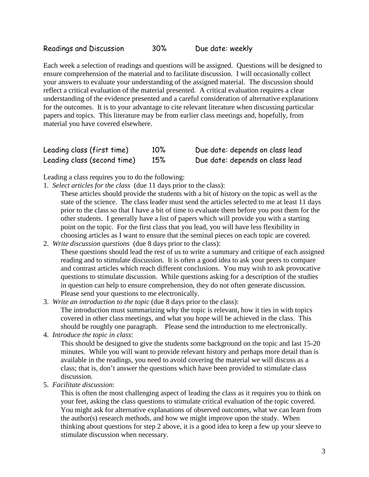Each week a selection of readings and questions will be assigned. Questions will be designed to ensure comprehension of the material and to facilitate discussion. I will occasionally collect your answers to evaluate your understanding of the assigned material. The discussion should reflect a critical evaluation of the material presented. A critical evaluation requires a clear understanding of the evidence presented and a careful consideration of alternative explanations for the outcomes. It is to your advantage to cite relevant literature when discussing particular papers and topics. This literature may be from earlier class meetings and, hopefully, from material you have covered elsewhere.

| Leading class (first time)  | $10\%$ | Due date: depends on class lead |
|-----------------------------|--------|---------------------------------|
| Leading class (second time) | 15%    | Due date: depends on class lead |

Leading a class requires you to do the following:

- 1. *Select articles for the class* (due 11 days prior to the class):
	- These articles should provide the students with a bit of history on the topic as well as the state of the science. The class leader must send the articles selected to me at least 11 days prior to the class so that I have a bit of time to evaluate them before you post them for the other students. I generally have a list of papers which will provide you with a starting point on the topic. For the first class that you lead, you will have less flexibility in choosing articles as I want to ensure that the seminal pieces on each topic are covered.
- 2. *Write discussion questions* (due 8 days prior to the class): These questions should lead the rest of us to write a summary and critique of each assigned reading and to stimulate discussion. It is often a good idea to ask your peers to compare and contrast articles which reach different conclusions. You may wish to ask provocative questions to stimulate discussion. While questions asking for a description of the studies in question can help to ensure comprehension, they do not often generate discussion. Please send your questions to me electronically.
- 3. *Write an introduction to the topic* (due 8 days prior to the class):

The introduction must summarizing why the topic is relevant, how it ties in with topics covered in other class meetings, and what you hope will be achieved in the class. This should be roughly one paragraph. Please send the introduction to me electronically.

4. *Introduce the topic in class*:

This should be designed to give the students some background on the topic and last 15-20 minutes. While you will want to provide relevant history and perhaps more detail than is available in the readings, you need to avoid covering the material we will discuss as a class; that is, don't answer the questions which have been provided to stimulate class discussion.

5. *Facilitate discussion*:

This is often the most challenging aspect of leading the class as it requires you to think on your feet, asking the class questions to stimulate critical evaluation of the topic covered. You might ask for alternative explanations of observed outcomes, what we can learn from the author(s) research methods, and how we might improve upon the study. When thinking about questions for step 2 above, it is a good idea to keep a few up your sleeve to stimulate discussion when necessary.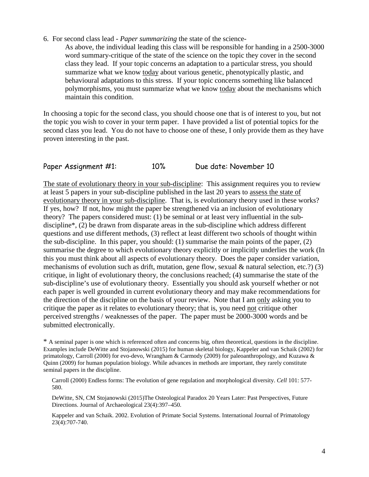6. For second class lead - *Paper summarizing* the state of the science-

As above, the individual leading this class will be responsible for handing in a 2500-3000 word summary-critique of the state of the science on the topic they cover in the second class they lead. If your topic concerns an adaptation to a particular stress, you should summarize what we know today about various genetic, phenotypically plastic, and behavioural adaptations to this stress. If your topic concerns something like balanced polymorphisms, you must summarize what we know today about the mechanisms which maintain this condition.

In choosing a topic for the second class, you should choose one that is of interest to you, but not the topic you wish to cover in your term paper. I have provided a list of potential topics for the second class you lead. You do not have to choose one of these, I only provide them as they have proven interesting in the past.

### Paper Assignment #1: 10% Due date: November 10

The state of evolutionary theory in your sub-discipline: This assignment requires you to review at least 5 papers in your sub-discipline published in the last 20 years to assess the state of evolutionary theory in your sub-discipline. That is, is evolutionary theory used in these works? If yes, how? If not, how might the paper be strengthened via an inclusion of evolutionary theory? The papers considered must: (1) be seminal or at least very influential in the subdiscipline\*, (2) be drawn from disparate areas in the sub-discipline which address different questions and use different methods, (3) reflect at least different two schools of thought within the sub-discipline. In this paper, you should: (1) summarise the main points of the paper, (2) summarise the degree to which evolutionary theory explicitly or implicitly underlies the work (In this you must think about all aspects of evolutionary theory. Does the paper consider variation, mechanisms of evolution such as drift, mutation, gene flow, sexual & natural selection, etc.?) (3) critique, in light of evolutionary theory, the conclusions reached; (4) summarise the state of the sub-discipline's use of evolutionary theory. Essentially you should ask yourself whether or not each paper is well grounded in current evolutionary theory and may make recommendations for the direction of the discipline on the basis of your review. Note that I am only asking you to critique the paper as it relates to evolutionary theory; that is, you need not critique other perceived strengths / weaknesses of the paper. The paper must be 2000-3000 words and be submitted electronically.

\* A seminal paper is one which is referenced often and concerns big, often theoretical, questions in the discipline. Examples include DeWitte and Stojanowski (2015) for human skeletal biology, Kappeler and van Schaik (2002) for primatology, Carroll (2000) for evo-devo, Wrangham & Carmody (2009) for paleoanthropology, and Kuzawa & Quinn (2009) for human population biology. While advances in methods are important, they rarely constitute seminal papers in the discipline.

Carroll (2000) Endless forms: The evolution of gene regulation and morphological diversity. *Cell* 101: 577- 580.

DeWitte, SN, CM Stojanowski (2015)The Osteological Paradox 20 Years Later: Past Perspectives, Future Directions. Journal of Archaeological 23(4):397–450.

Kappeler and van Schaik. 2002. Evolution of Primate Social Systems. International Journal of Primatology 23(4):707-740.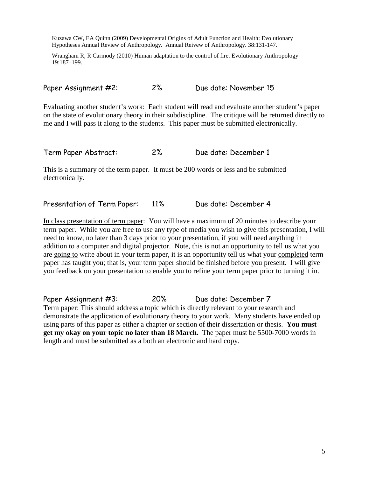Kuzawa CW, EA Quinn (2009) Developmental Origins of Adult Function and Health: Evolutionary Hypotheses Annual Review of Anthropology. Annual Reivew of Anthropology. 38:131-147.

Wrangham R, R Carmody (2010) Human adaptation to the control of fire. Evolutionary Anthropology 19:187–199.

Paper Assignment #2: 2% Due date: November 15

Evaluating another student's work: Each student will read and evaluate another student's paper on the state of evolutionary theory in their subdiscipline. The critique will be returned directly to me and I will pass it along to the students. This paper must be submitted electronically.

Term Paper Abstract: 2% Due date: December 1

This is a summary of the term paper. It must be 200 words or less and be submitted electronically.

Presentation of Term Paper: 11% Due date: December 4

In class presentation of term paper: You will have a maximum of 20 minutes to describe your term paper. While you are free to use any type of media you wish to give this presentation, I will need to know, no later than 3 days prior to your presentation, if you will need anything in addition to a computer and digital projector. Note, this is not an opportunity to tell us what you are going to write about in your term paper, it is an opportunity tell us what your completed term paper has taught you; that is, your term paper should be finished before you present. I will give you feedback on your presentation to enable you to refine your term paper prior to turning it in.

Paper Assignment #3: 20% Due date: December 7 Term paper: This should address a topic which is directly relevant to your research and demonstrate the application of evolutionary theory to your work. Many students have ended up using parts of this paper as either a chapter or section of their dissertation or thesis. **You must get my okay on your topic no later than 18 March.** The paper must be 5500-7000 words in length and must be submitted as a both an electronic and hard copy.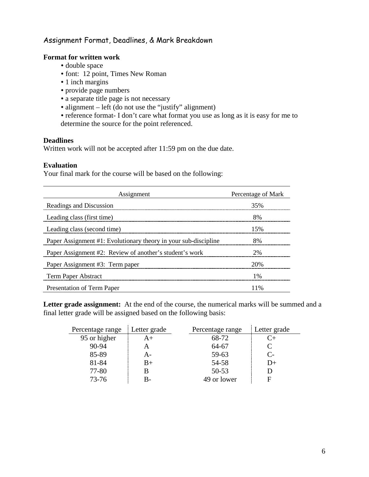### Assignment Format, Deadlines, & Mark Breakdown

### **Format for written work**

- double space
- font: 12 point, Times New Roman
- 1 inch margins
- provide page numbers
- a separate title page is not necessary
- alignment left (do not use the "justify" alignment)
- reference format- I don't care what format you use as long as it is easy for me to determine the source for the point referenced.

#### **Deadlines**

Written work will not be accepted after 11:59 pm on the due date.

#### **Evaluation**

Your final mark for the course will be based on the following:

| Assignment                                                      | Percentage of Mark |
|-----------------------------------------------------------------|--------------------|
| Readings and Discussion                                         | 35%                |
| Leading class (first time)                                      | 8%                 |
| Leading class (second time)                                     | 15%                |
| Paper Assignment #1: Evolutionary theory in your sub-discipline | 8%                 |
| Paper Assignment #2: Review of another's student's work         | 2%                 |
| Paper Assignment #3: Term paper                                 | 20%                |
| <b>Term Paper Abstract</b>                                      | $1\%$              |
| Presentation of Term Paper                                      | 11%                |

Letter grade assignment: At the end of the course, the numerical marks will be summed and a final letter grade will be assigned based on the following basis:

| Percentage range | Letter grade | Percentage range | Letter grade         |
|------------------|--------------|------------------|----------------------|
| 95 or higher     | $A+$         | 68-72            |                      |
| 90-94            |              | 64-67            |                      |
| 85-89            | А-           | 59-63            | $\mathsf{C}\text{-}$ |
| 81-84            | $B+$         | 54-58            | $1$ )+               |
| 77-80            |              | $50 - 53$        |                      |
| $73 - 76$        | В-           | 49 or lower      |                      |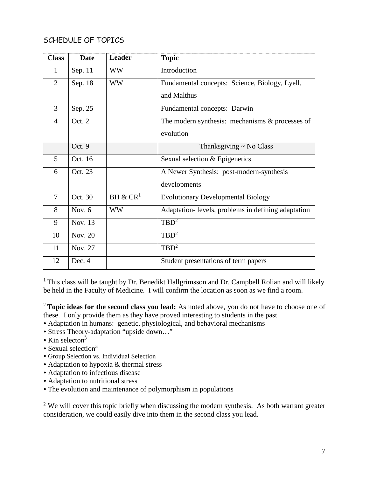# SCHEDULE OF TOPICS

| <b>Class</b>   | <b>Date</b> | <b>Leader</b>        | <b>Topic</b>                                       |
|----------------|-------------|----------------------|----------------------------------------------------|
| 1              | Sep. 11     | WW                   | Introduction                                       |
| $\overline{2}$ | Sep. 18     | <b>WW</b>            | Fundamental concepts: Science, Biology, Lyell,     |
|                |             |                      | and Malthus                                        |
| 3              | Sep. 25     |                      | Fundamental concepts: Darwin                       |
| $\overline{4}$ | Oct. 2      |                      | The modern synthesis: mechanisms $&$ processes of  |
|                |             |                      | evolution                                          |
|                | Oct. 9      |                      | Thanksgiving ~ No Class                            |
| 5              | Oct. 16     |                      | Sexual selection & Epigenetics                     |
| 6              | Oct. 23     |                      | A Newer Synthesis: post-modern-synthesis           |
|                |             |                      | developments                                       |
| 7              | Oct. 30     | BH & CR <sup>1</sup> | <b>Evolutionary Developmental Biology</b>          |
| 8              | Nov. 6      | <b>WW</b>            | Adaptation-levels, problems in defining adaptation |
| 9              | Nov. 13     |                      | $TBD^2$                                            |
| 10             | Nov. 20     |                      | $TBD^2$                                            |
| 11             | Nov. 27     |                      | $TBD^2$                                            |
| 12             | Dec. 4      |                      | Student presentations of term papers               |

<sup>1</sup> This class will be taught by Dr. Benedikt Hallgrimsson and Dr. Campbell Rolian and will likely be held in the Faculty of Medicine. I will confirm the location as soon as we find a room.

<sup>2</sup>**Topic ideas for the second class you lead:** As noted above, you do not have to choose one of these. I only provide them as they have proved interesting to students in the past.

- Adaptation in humans: genetic, physiological, and behavioral mechanisms
- Stress Theory-adaptation "upside down…"
- $\cdot$  Kin selecton<sup>3</sup>
- $\bullet$  Sexual selection<sup>3</sup>
- Group Selection vs. Individual Selection
- Adaptation to hypoxia & thermal stress
- Adaptation to infectious disease
- Adaptation to nutritional stress
- The evolution and maintenance of polymorphism in populations

 $2$  We will cover this topic briefly when discussing the modern synthesis. As both warrant greater consideration, we could easily dive into them in the second class you lead.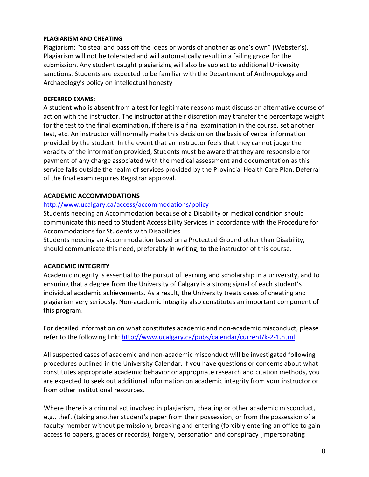#### **PLAGIARISM AND CHEATING**

Plagiarism: "to steal and pass off the ideas or words of another as one's own" (Webster's). Plagiarism will not be tolerated and will automatically result in a failing grade for the submission. Any student caught plagiarizing will also be subject to additional University sanctions. Students are expected to be familiar with the Department of Anthropology and Archaeology's policy on intellectual honesty

#### **DEFERRED EXAMS:**

A student who is absent from a test for legitimate reasons must discuss an alternative course of action with the instructor. The instructor at their discretion may transfer the percentage weight for the test to the final examination, if there is a final examination in the course, set another test, etc. An instructor will normally make this decision on the basis of verbal information provided by the student. In the event that an instructor feels that they cannot judge the veracity of the information provided, Students must be aware that they are responsible for payment of any charge associated with the medical assessment and documentation as this service falls outside the realm of services provided by the Provincial Health Care Plan. Deferral of the final exam requires Registrar approval.

### **ACADEMIC ACCOMMODATIONS**

### <http://www.ucalgary.ca/access/accommodations/policy>

Students needing an Accommodation because of a Disability or medical condition should communicate this need to Student Accessibility Services in accordance with the Procedure for Accommodations for Students with Disabilities

Students needing an Accommodation based on a Protected Ground other than Disability, should communicate this need, preferably in writing, to the instructor of this course.

### **ACADEMIC INTEGRITY**

Academic integrity is essential to the pursuit of learning and scholarship in a university, and to ensuring that a degree from the University of Calgary is a strong signal of each student's individual academic achievements. As a result, the University treats cases of cheating and plagiarism very seriously. Non-academic integrity also constitutes an important component of this program.

For detailed information on what constitutes academic and non-academic misconduct, please refer to the following link:<http://www.ucalgary.ca/pubs/calendar/current/k-2-1.html>

All suspected cases of academic and non-academic misconduct will be investigated following procedures outlined in the University Calendar. If you have questions or concerns about what constitutes appropriate academic behavior or appropriate research and citation methods, you are expected to seek out additional information on academic integrity from your instructor or from other institutional resources.

Where there is a criminal act involved in plagiarism, cheating or other academic misconduct, e.g., theft (taking another student's paper from their possession, or from the possession of a faculty member without permission), breaking and entering (forcibly entering an office to gain access to papers, grades or records), forgery, personation and conspiracy (impersonating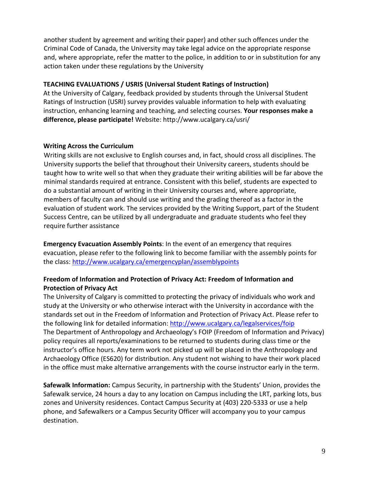another student by agreement and writing their paper) and other such offences under the Criminal Code of Canada, the University may take legal advice on the appropriate response and, where appropriate, refer the matter to the police, in addition to or in substitution for any action taken under these regulations by the University

### **TEACHING EVALUATIONS / USRIS (Universal Student Ratings of Instruction)**

At the University of Calgary, feedback provided by students through the Universal Student Ratings of Instruction (USRI) survey provides valuable information to help with evaluating instruction, enhancing learning and teaching, and selecting courses. **Your responses make a difference, please participate!** Website: http://www.ucalgary.ca/usri/

### **Writing Across the Curriculum**

Writing skills are not exclusive to English courses and, in fact, should cross all disciplines. The University supports the belief that throughout their University careers, students should be taught how to write well so that when they graduate their writing abilities will be far above the minimal standards required at entrance. Consistent with this belief, students are expected to do a substantial amount of writing in their University courses and, where appropriate, members of faculty can and should use writing and the grading thereof as a factor in the evaluation of student work. The services provided by the Writing Support, part of the Student Success Centre, can be utilized by all undergraduate and graduate students who feel they require further assistance

**Emergency Evacuation Assembly Points**: In the event of an emergency that requires evacuation, please refer to the following link to become familiar with the assembly points for the class:<http://www.ucalgary.ca/emergencyplan/assemblypoints>

### **Freedom of Information and Protection of Privacy Act: Freedom of Information and Protection of Privacy Act**

The University of Calgary is committed to protecting the privacy of individuals who work and study at the University or who otherwise interact with the University in accordance with the standards set out in the Freedom of Information and Protection of Privacy Act. Please refer to the following link for detailed information:<http://www.ucalgary.ca/legalservices/foip> The Department of Anthropology and Archaeology's FOIP (Freedom of Information and Privacy) policy requires all reports/examinations to be returned to students during class time or the instructor's office hours. Any term work not picked up will be placed in the Anthropology and Archaeology Office (ES620) for distribution. Any student not wishing to have their work placed in the office must make alternative arrangements with the course instructor early in the term.

**Safewalk Information:** Campus Security, in partnership with the Students' Union, provides the Safewalk service, 24 hours a day to any location on Campus including the LRT, parking lots, bus zones and University residences. Contact Campus Security at (403) 220-5333 or use a help phone, and Safewalkers or a Campus Security Officer will accompany you to your campus destination.